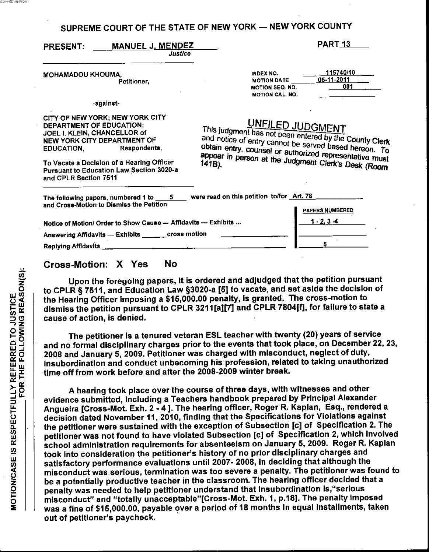| SUPREME COURT OF THE STATE OF NEW YORK - NEW YORK COUNTY |  |
|----------------------------------------------------------|--|
|----------------------------------------------------------|--|

| <b>PRESENT:</b> | <b>MANUEL J. MENDEZ</b> |  |
|-----------------|-------------------------|--|
|                 |                         |  |

**Justice** 

MOHAMADOU KHOUMA, Petitioner,

## -against-

CITY OF NEW YORK: NEW YORK CITY **DEPARTMENT OF EDUCATION;** JOEL I. KLEIN, CHANCELLOR of NEW YORK CITY DEPARTMENT OF Respondents, **EDUCATION,** 

To Vacate a Decision of a Hearing Officer **Pursuant to Education Law Section 3020-a** and CPLR Section 7511

## UNFILED JUDGMENT

INDEX NO.

**MOTION DATE** 

**MOTION SEQ. NO.** 

**MOTION CAL. NO.** 

PART 13

05-11-2011

115740/10

001

This judgment has not been entered by the County Clerk and notice of entry cannot be served based hereon. To obtain entry, counsel or authorized representative must appear in person at the Judgment Clerk's Desk (Room

| were read on this petition to/for Art. 78<br>The following papers, numbered 1 to<br>- 5<br>and Cross-Motion to Dismiss the Petition |                        |
|-------------------------------------------------------------------------------------------------------------------------------------|------------------------|
|                                                                                                                                     | <b>PAPERS NUMBERED</b> |
| Notice of Motion/ Order to Show Cause -- Affidavits -- Exhibits                                                                     | $1 - 2, 3 - 4$         |
| cross motion<br>Answering Affidavits - Exhibits                                                                                     |                        |
| <b>Replying Affidavits</b>                                                                                                          |                        |

## **Cross-Motion: X Yes No**

Upon the foregoing papers, it is ordered and adjudged that the petition pursuant to CPLR § 7511, and Education Law §3020-a [5] to vacate, and set aside the decision of the Hearing Officer Imposing a \$15,000.00 penalty, is granted. The cross-motion to dismiss the petition pursuant to CPLR 3211[a][7] and CPLR 7804[f], for failure to state a cause of action, is denied.

The petitioner Is a tenured veteran ESL teacher with twenty (20) years of service and no formal disciplinary charges prior to the events that took place, on December 22, 23, 2008 and January 5, 2009. Petitioner was charged with misconduct, neglect of duty, insubordination and conduct unbecoming his profession, related to taking unauthorized time off from work before and after the 2008-2009 winter break.

A hearing took place over the course of three days, with witnesses and other evidence submitted, including a Teachers handbook prepared by Principal Alexander Angueira [Cross-Mot. Exh. 2 - 4 ]. The hearing officer, Roger R. Kaplan, Esq., rendered a decision dated November 11, 2010, finding that the Specifications for Violations against the petitioner were sustained with the exception of Subsection [c] of Specification 2. The petitioner was not found to have violated Subsection [c] of Specification 2, which involved school administration requirements for absenteeism on January 5, 2009. Roger R. Kaplan took into consideration the petitioner's history of no prior disciplinary charges and satisfactory performance evaluations until 2007- 2008, in deciding that although the misconduct was serious, termination was too severe a penalty. The petitioner was found to be a potentially productive teacher in the classroom. The hearing officer decided that a penalty was needed to help petitioner understand that insubordination is, "serious misconduct" and "totally unacceptable"[Cross-Mot. Exh. 1, p.18]. The penalty imposed was a fine of \$15,000.00, payable over a period of 18 months in equal installments, taken out of petitioner's paycheck.

SCANNED ON 6/1/2011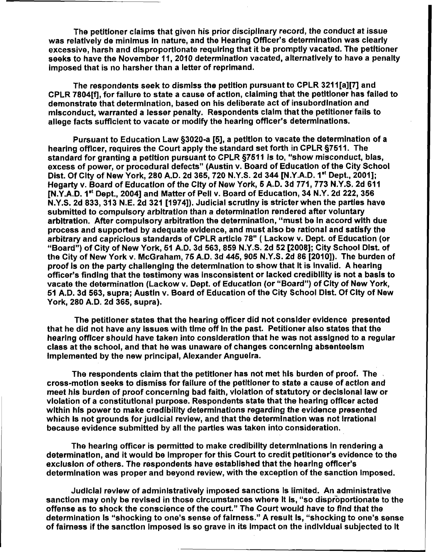The petitioner claims that given his prior disciplinary record, the conduct at issue was relatively de minimus In nature, and the Hearing Officer's determination was clearly excessive, harsh and disproportionate requiring that it be promptly vacated. The petitioner seeks to have the November **11,2010** determination vacated, alternatively to have a penalty imposed that is no harsher than a letter of reprimand.

The respondents seek to dismiss the petition pursuant to CPLR **321 1** [a][7] and CPLR **7804[fl,** for failure to state a cause of action, claiming that the petitioner has failed to demonstrate that determination, based on his deliberate act of insubordlnation and misconduct, warranted a lesser penalty. Respondents claim that the petitloner fails to allege facts sufficient to vacate or **modify** the hearing officer's determinations.

Pursuant to Education Law \$3020-a *[6],* a petition to vacate the determlnation of a hearing offlcer, requires the Court apply the standard set forth in CPLR **5761 1.** The standard for granting a petition pursuant to CPLR **5761 1** Is to, "show misconduct, bias, excess of power, or procedural defects" (Austin v. Board of Education of the City School<br>Dist. Of City of New York, 280 A.D. 2d 365, 720 N.Y.S. 2d 344 [N.Y.A.D. 1<sup>st</sup> Dept., 2001];<br>... Hegarty **v. Board of Education of the City of** New York, 5 A.D. 3d 771, 773 N.Y.S. 2d 611<br>[N.Y.A.D. 1\*' Dept., 2004] and Matter of Pell v. Board of Education, 34 N.Y. 2d 222, 356 N.Y.S. 2d **833, 313** N.E. 2d **321 [1974]).** Judicial scrutiny is stricter when the parties have submitted to compulsory arbitration than a determination rendered after voluntary arbitration. After compulsory arbitration the determination, "must be in accord with due process and supported by adequate evidence, and must also be rational and satisfy **the**  arbitrary and capriclous standards of CPLR article 78" ( Lackow v. Dept. of Education **(or**  "Board") of City of New York, 51 A.D. 3d 563, 859 N.Y.S. 2d 52 [2008]; City School Dist. of the City of New York v. McGraham, 76 A.D. 3d **446,905** N.Y.S. **2d 86 f20lOl).** The burden **of**  proof is on the party chailenglng the determination to show that It is invalid. A hearing officer's finding that the testimony was insconsistent or lacked crediblllty is not a basis to vacate the determination (Lackow v. Dept. of Educatian (or "Board") of City of New York, 61 A.D. 3d 563, supra; Austin v. Board of Education of the City School Dlst. Of City of New York, 280 A.D. 2d 365, supra).

The petitioner states that the hearing officer did not consider evidence presented that he did not have any issues with time off In the past. Petitioner also states that the hearing officer should have taken into consideration that he was not assigned to a regular class at the school, and that he was unaware of changes concerning absenteeism implemented by the new principal, Alexander Anguelra.

The respondents claim that the petitioner has not met his burden of proof. The cross-motion seeks to dismiss for failure of the petltloner to state a cause of action and meet his burden of proof concerning bad faith, vioiatlon **of** statutory or declslonai law or violation of a constitutional purpose. Respondents state that the hearlng offlcer acted within his power to make credibility determinatlons regarding the evidence presented which **Is** not grounds for judicial review, and that the determination was not irrational because evidence submitted by ail the parties was taken into consideration.

The hearing officer is permitted to make credibility determinations in rendering a determinatlon, and it would be improper for this Court to credit petltioner's evidence to the exclusion of others. The respondents have established that the hearing offlcer's determination was proper and beyond review, with the exception of the sanction imposed.

Judicial review of administratively imposed sanctions Is limited. An administrative sanction may only be revlsed in those circumstances where It is, "so diapfiportionate to the offense as to shock the conscience **of** the court." The Court would have to flnd that the determination **Is** "shocking to one's sense of falrness." A result Is, "shocking to one's sense of fairness if the sanction imposed is so grave in its impact on the individual subjected to it